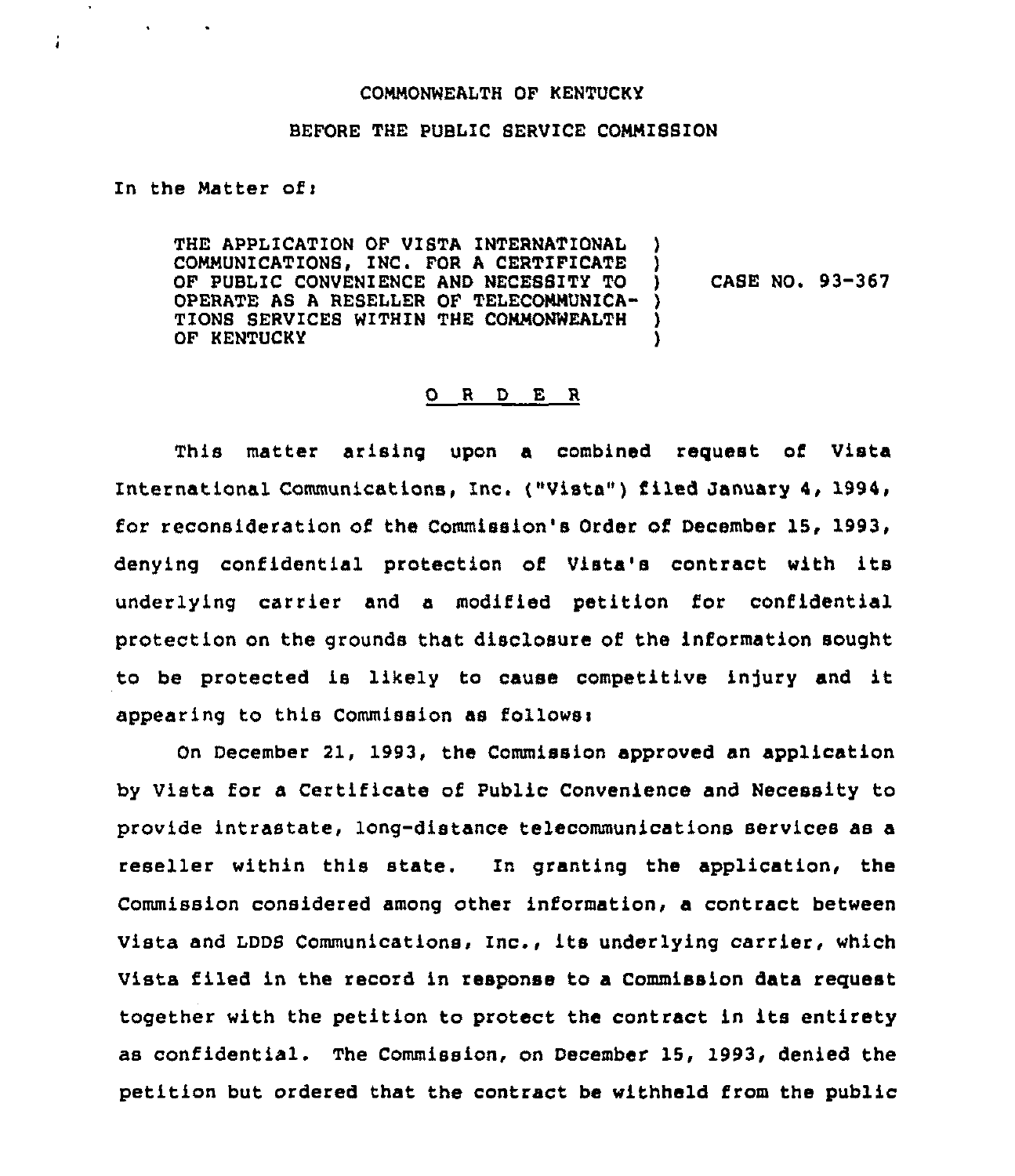## COMMONNEALTH OF KENTUCKY

## BEFORE THE PUBLIC SERVICE COMMISSION.

In the Matter ofi

All Controller

÷

THE APPL1CATION OF VISTA INTERNATIONAL COMMUNICATIONS, INC. FOR A CERTIFICATE OF PUBLIC CONVENIENCE AND NECESSITY TO OPERATE AS A RESELLER OF TELECOMMUNICA-) TIONS SERVICES WITHIN THE COMMONWEALTH OF KENTUCKY ) ) ) CASE NO. 93-367 ) )

## 0 <sup>R</sup> <sup>D</sup> E <sup>R</sup>

This matter arising upon a combined request of Vista International Communications, Inc. ("Vista" ) filed January 4, 1994, for reconsideration of the Commission's Order of December 15, 1993, denying confidential protection of Vista's contract with its underlying carrier and a modified petition for confidential protection on the grounds that disclosure of the information sought to be protected is likely to cause competitive injury and it appearing to this Commission as follows:

On December 21, 1993, the Commission approved an application by Vista for a Certificate of Public Convenience and Necessity to provide intrastate, long-distance telecommunications services as a reseller within this state. In granting the application, the Commission considered among other information, a contract between Vista and LDDS Communications, Inc., its underlying carrier, which 'Vista filed in the record in response to a Commission data request together with the petition to protect the contract in its entirety as confidential. The Commission, on December 15, 1993, denied the petition but ordered that the contract be withheld from the public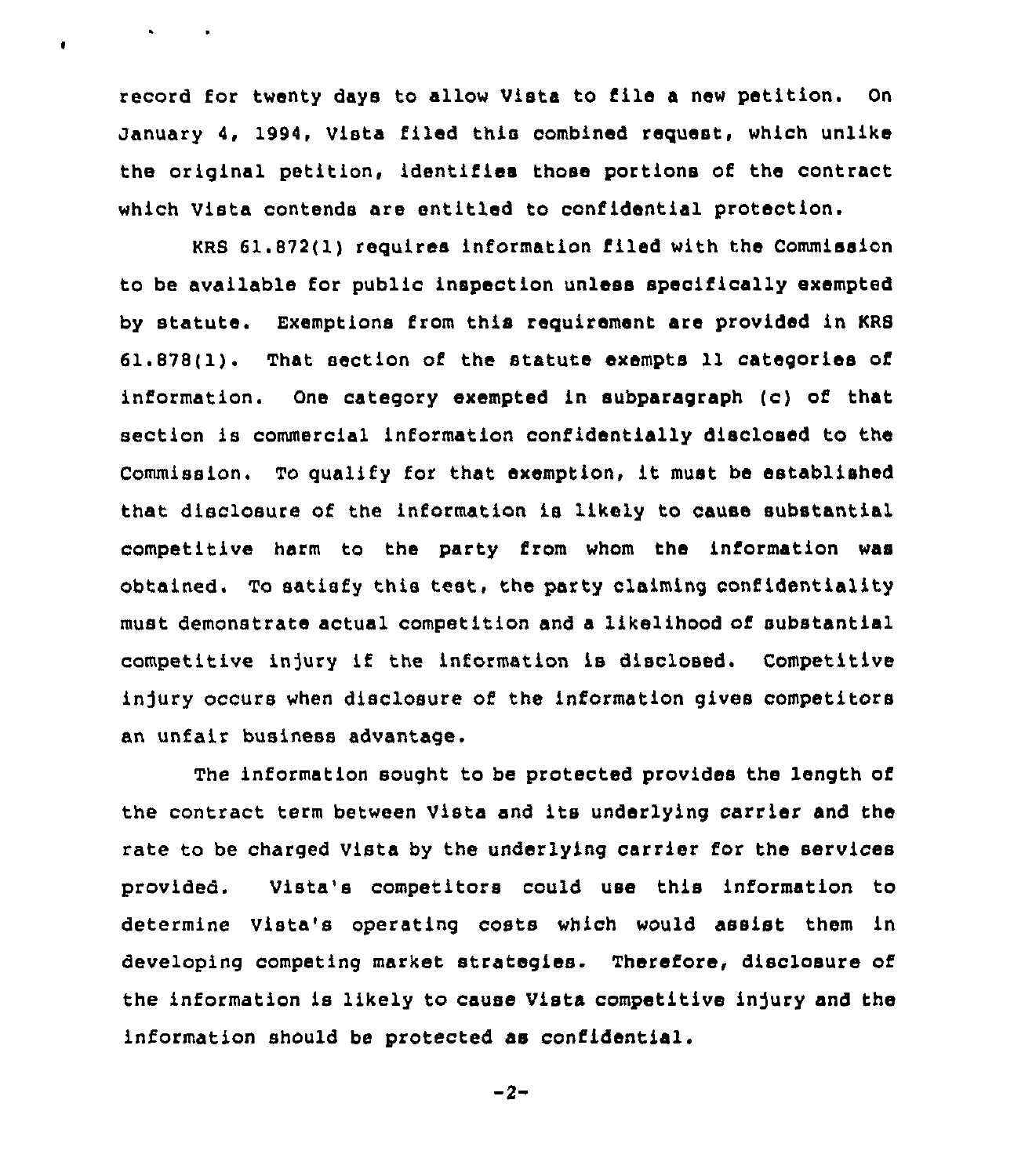record for twenty days to allow Vista to file <sup>a</sup> new petition. On January 4, 1994, Vista filed this combined request, which unlike the original petition, identifies those portions of the contract which Vista contends are entitled to confidential protection.

 $\ddot{\phantom{1}}$ 

 $\bullet$ 

KRB 61.872(1) requires information filed with the Commission to be available for public inspection unless specifically exempted by statute. Exemptions from this requirement are provided in KRB 61.878(1). That section of the statute exempts 11 categories of information. One cateqory exempted in subparagraph (c) of that section is commercial information confidentially disclosed to the Commission. To qualify for that exemption, it must be established that disclosure of the information is likely to cause substantial competitive harm to the party from whom the information was obtained. To satisfy this test, the party claiming confidentiality must demonstrate actual competition and a likelihood of substantial competitive in]ury if the information is disclosed. Competitive injury occurs when disclosure of the information gives competitors an unfair business advantage.

The information sought to be protected provides the length of the contract term between Vista and its underlying carrier and the rate to be charged Vista by the underlying carrier for the services provided. Vista's competitors could use this information to determine Vista's operating costs which would assist them in developing competing market strategies. Therefore, disclosure of the information is likely to cause Vista competitive injury and the information should be protected as confidential.

 $-2-$